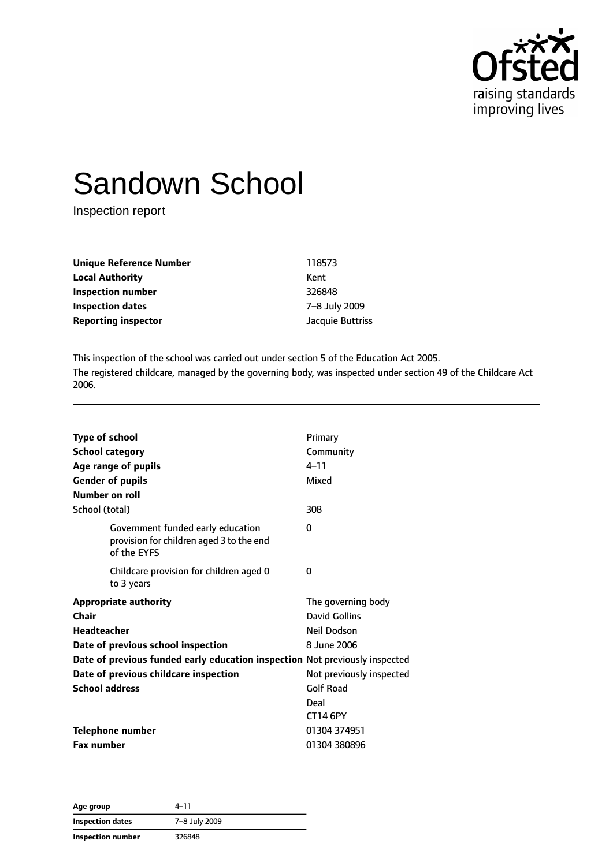

# Sandown School

Inspection report

| <b>Unique Reference Number</b> | 118573           |
|--------------------------------|------------------|
| <b>Local Authority</b>         | Kent             |
| Inspection number              | 326848           |
| <b>Inspection dates</b>        | 7-8 July 2009    |
| <b>Reporting inspector</b>     | Jacquie Buttriss |

This inspection of the school was carried out under section 5 of the Education Act 2005. The registered childcare, managed by the governing body, was inspected under section 49 of the Childcare Act 2006.

| <b>Type of school</b><br>Number on roll                                     | <b>School category</b><br>Age range of pupils<br><b>Gender of pupils</b>                     | Primary<br>Community<br>$4 - 11$<br>Mixed          |
|-----------------------------------------------------------------------------|----------------------------------------------------------------------------------------------|----------------------------------------------------|
| School (total)                                                              |                                                                                              | 308                                                |
|                                                                             | Government funded early education<br>provision for children aged 3 to the end<br>of the EYFS | 0                                                  |
|                                                                             | Childcare provision for children aged 0<br>to 3 years                                        | 0                                                  |
| Chair<br>Headteacher                                                        | <b>Appropriate authority</b>                                                                 | The governing body<br>David Gollins<br>Neil Dodson |
|                                                                             | Date of previous school inspection                                                           | 8 June 2006                                        |
| Date of previous funded early education inspection Not previously inspected |                                                                                              |                                                    |
|                                                                             | Date of previous childcare inspection                                                        | Not previously inspected                           |
| <b>School address</b>                                                       |                                                                                              | Golf Road                                          |
|                                                                             |                                                                                              | Deal                                               |
|                                                                             |                                                                                              | <b>CT14 6PY</b>                                    |
|                                                                             | Telephone number                                                                             | 01304 374951                                       |
| <b>Fax number</b>                                                           |                                                                                              | 01304 380896                                       |

**Age group** 4–11 **Inspection dates** 7–8 July 2009 **Inspection number** 326848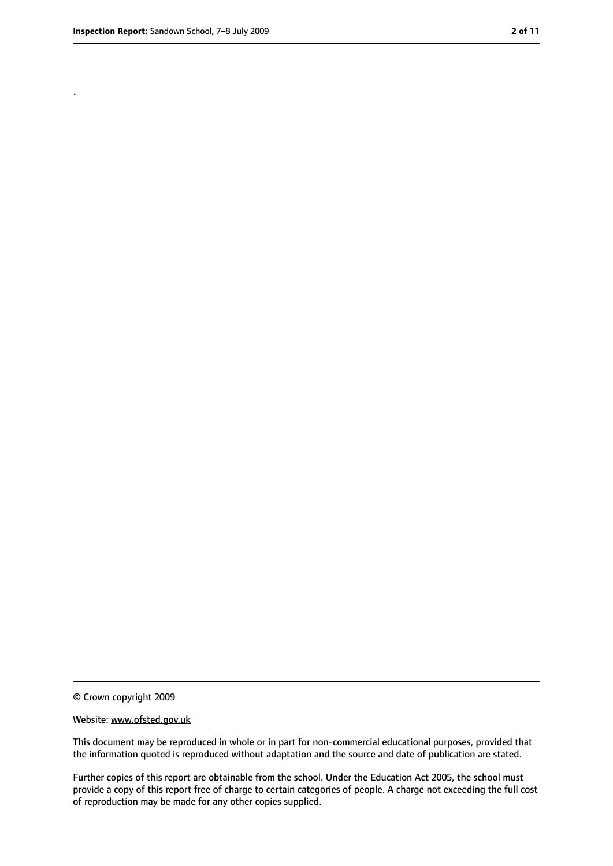.

<sup>©</sup> Crown copyright 2009

Website: www.ofsted.gov.uk

This document may be reproduced in whole or in part for non-commercial educational purposes, provided that the information quoted is reproduced without adaptation and the source and date of publication are stated.

Further copies of this report are obtainable from the school. Under the Education Act 2005, the school must provide a copy of this report free of charge to certain categories of people. A charge not exceeding the full cost of reproduction may be made for any other copies supplied.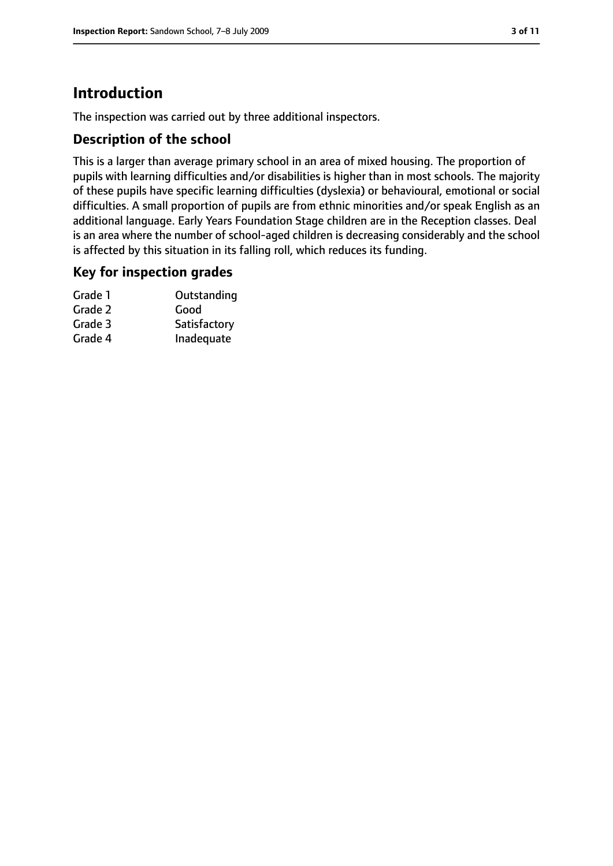# **Introduction**

The inspection was carried out by three additional inspectors.

# **Description of the school**

This is a larger than average primary school in an area of mixed housing. The proportion of pupils with learning difficulties and/or disabilities is higher than in most schools. The majority of these pupils have specific learning difficulties (dyslexia) or behavioural, emotional or social difficulties. A small proportion of pupils are from ethnic minorities and/or speak English as an additional language. Early Years Foundation Stage children are in the Reception classes. Deal is an area where the number of school-aged children is decreasing considerably and the school is affected by this situation in its falling roll, which reduces its funding.

## **Key for inspection grades**

| Outstanding  |
|--------------|
| Good         |
| Satisfactory |
| Inadequate   |
|              |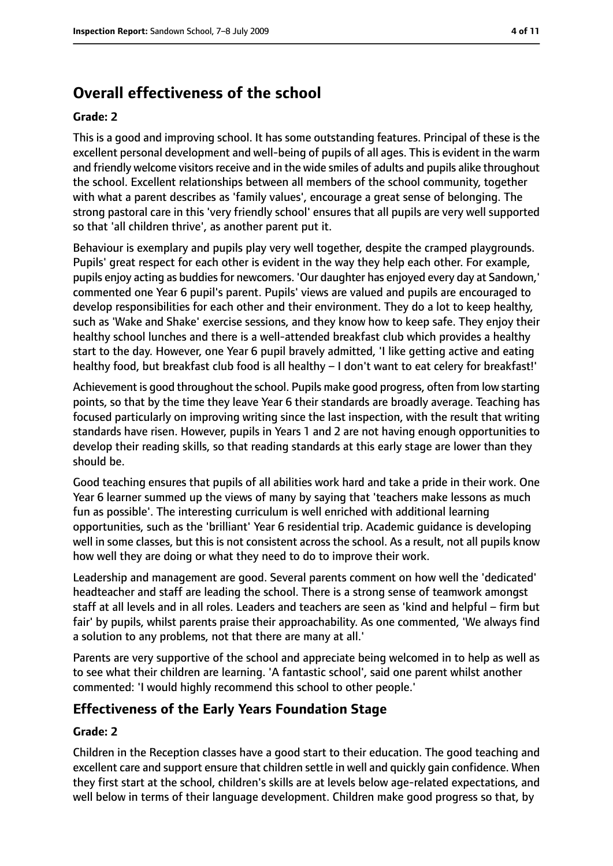# **Overall effectiveness of the school**

#### **Grade: 2**

This is a good and improving school. It has some outstanding features. Principal of these is the excellent personal development and well-being of pupils of all ages. This is evident in the warm and friendly welcome visitors receive and in the wide smiles of adults and pupils alike throughout the school. Excellent relationships between all members of the school community, together with what a parent describes as 'family values', encourage a great sense of belonging. The strong pastoral care in this 'very friendly school' ensures that all pupils are very well supported so that 'all children thrive', as another parent put it.

Behaviour is exemplary and pupils play very well together, despite the cramped playgrounds. Pupils' great respect for each other is evident in the way they help each other. For example, pupils enjoy acting as buddies for newcomers. 'Our daughter has enjoyed every day at Sandown,' commented one Year 6 pupil's parent. Pupils' views are valued and pupils are encouraged to develop responsibilities for each other and their environment. They do a lot to keep healthy, such as 'Wake and Shake' exercise sessions, and they know how to keep safe. They enjoy their healthy school lunches and there is a well-attended breakfast club which provides a healthy start to the day. However, one Year 6 pupil bravely admitted, 'I like getting active and eating healthy food, but breakfast club food is all healthy – I don't want to eat celery for breakfast!'

Achievement is good throughout the school. Pupils make good progress, often from low starting points, so that by the time they leave Year 6 their standards are broadly average. Teaching has focused particularly on improving writing since the last inspection, with the result that writing standards have risen. However, pupils in Years 1 and 2 are not having enough opportunities to develop their reading skills, so that reading standards at this early stage are lower than they should be.

Good teaching ensures that pupils of all abilities work hard and take a pride in their work. One Year 6 learner summed up the views of many by saying that 'teachers make lessons as much fun as possible'. The interesting curriculum is well enriched with additional learning opportunities, such as the 'brilliant' Year 6 residential trip. Academic guidance is developing well in some classes, but this is not consistent across the school. As a result, not all pupils know how well they are doing or what they need to do to improve their work.

Leadership and management are good. Several parents comment on how well the 'dedicated' headteacher and staff are leading the school. There is a strong sense of teamwork amongst staff at all levels and in all roles. Leaders and teachers are seen as 'kind and helpful – firm but fair' by pupils, whilst parents praise their approachability. As one commented, 'We always find a solution to any problems, not that there are many at all.'

Parents are very supportive of the school and appreciate being welcomed in to help as well as to see what their children are learning. 'A fantastic school', said one parent whilst another commented: 'I would highly recommend this school to other people.'

# **Effectiveness of the Early Years Foundation Stage**

## **Grade: 2**

Children in the Reception classes have a good start to their education. The good teaching and excellent care and support ensure that children settle in well and quickly gain confidence. When they first start at the school, children's skills are at levels below age-related expectations, and well below in terms of their language development. Children make good progress so that, by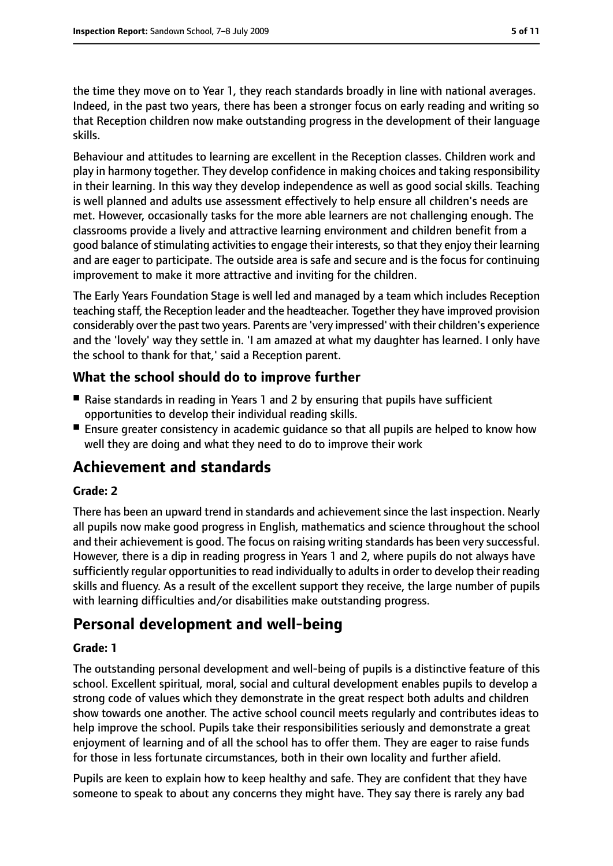the time they move on to Year 1, they reach standards broadly in line with national averages. Indeed, in the past two years, there has been a stronger focus on early reading and writing so that Reception children now make outstanding progress in the development of their language skills.

Behaviour and attitudes to learning are excellent in the Reception classes. Children work and play in harmony together. They develop confidence in making choices and taking responsibility in their learning. In this way they develop independence as well as good social skills. Teaching is well planned and adults use assessment effectively to help ensure all children's needs are met. However, occasionally tasks for the more able learners are not challenging enough. The classrooms provide a lively and attractive learning environment and children benefit from a good balance of stimulating activities to engage their interests, so that they enjoy their learning and are eager to participate. The outside area is safe and secure and is the focus for continuing improvement to make it more attractive and inviting for the children.

The Early Years Foundation Stage is well led and managed by a team which includes Reception teaching staff, the Reception leader and the headteacher. Together they have improved provision considerably over the past two years. Parents are 'very impressed' with their children's experience and the 'lovely' way they settle in. 'I am amazed at what my daughter has learned. I only have the school to thank for that,' said a Reception parent.

# **What the school should do to improve further**

- Raise standards in reading in Years 1 and 2 by ensuring that pupils have sufficient opportunities to develop their individual reading skills.
- Ensure greater consistency in academic guidance so that all pupils are helped to know how well they are doing and what they need to do to improve their work

# **Achievement and standards**

## **Grade: 2**

There has been an upward trend in standards and achievement since the last inspection. Nearly all pupils now make good progress in English, mathematics and science throughout the school and their achievement is good. The focus on raising writing standards has been very successful. However, there is a dip in reading progress in Years 1 and 2, where pupils do not always have sufficiently regular opportunities to read individually to adults in order to develop their reading skills and fluency. As a result of the excellent support they receive, the large number of pupils with learning difficulties and/or disabilities make outstanding progress.

# **Personal development and well-being**

## **Grade: 1**

The outstanding personal development and well-being of pupils is a distinctive feature of this school. Excellent spiritual, moral, social and cultural development enables pupils to develop a strong code of values which they demonstrate in the great respect both adults and children show towards one another. The active school council meets regularly and contributes ideas to help improve the school. Pupils take their responsibilities seriously and demonstrate a great enjoyment of learning and of all the school has to offer them. They are eager to raise funds for those in less fortunate circumstances, both in their own locality and further afield.

Pupils are keen to explain how to keep healthy and safe. They are confident that they have someone to speak to about any concerns they might have. They say there is rarely any bad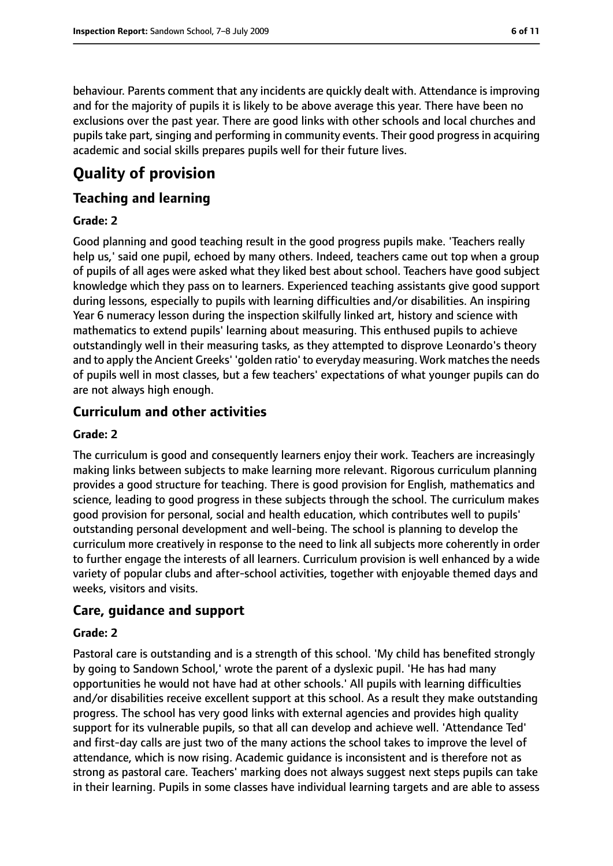behaviour. Parents comment that any incidents are quickly dealt with. Attendance is improving and for the majority of pupils it is likely to be above average this year. There have been no exclusions over the past year. There are good links with other schools and local churches and pupils take part, singing and performing in community events. Their good progress in acquiring academic and social skills prepares pupils well for their future lives.

# **Quality of provision**

# **Teaching and learning**

#### **Grade: 2**

Good planning and good teaching result in the good progress pupils make. 'Teachers really help us,' said one pupil, echoed by many others. Indeed, teachers came out top when a group of pupils of all ages were asked what they liked best about school. Teachers have good subject knowledge which they pass on to learners. Experienced teaching assistants give good support during lessons, especially to pupils with learning difficulties and/or disabilities. An inspiring Year 6 numeracy lesson during the inspection skilfully linked art, history and science with mathematics to extend pupils' learning about measuring. This enthused pupils to achieve outstandingly well in their measuring tasks, as they attempted to disprove Leonardo's theory and to apply the Ancient Greeks' 'golden ratio' to everyday measuring. Work matches the needs of pupils well in most classes, but a few teachers' expectations of what younger pupils can do are not always high enough.

## **Curriculum and other activities**

#### **Grade: 2**

The curriculum is good and consequently learners enjoy their work. Teachers are increasingly making links between subjects to make learning more relevant. Rigorous curriculum planning provides a good structure for teaching. There is good provision for English, mathematics and science, leading to good progress in these subjects through the school. The curriculum makes good provision for personal, social and health education, which contributes well to pupils' outstanding personal development and well-being. The school is planning to develop the curriculum more creatively in response to the need to link all subjects more coherently in order to further engage the interests of all learners. Curriculum provision is well enhanced by a wide variety of popular clubs and after-school activities, together with enjoyable themed days and weeks, visitors and visits.

## **Care, guidance and support**

#### **Grade: 2**

Pastoral care is outstanding and is a strength of this school. 'My child has benefited strongly by going to Sandown School,' wrote the parent of a dyslexic pupil. 'He has had many opportunities he would not have had at other schools.' All pupils with learning difficulties and/or disabilities receive excellent support at this school. As a result they make outstanding progress. The school has very good links with external agencies and provides high quality support for its vulnerable pupils, so that all can develop and achieve well. 'Attendance Ted' and first-day calls are just two of the many actions the school takes to improve the level of attendance, which is now rising. Academic guidance is inconsistent and is therefore not as strong as pastoral care. Teachers' marking does not always suggest next steps pupils can take in their learning. Pupils in some classes have individual learning targets and are able to assess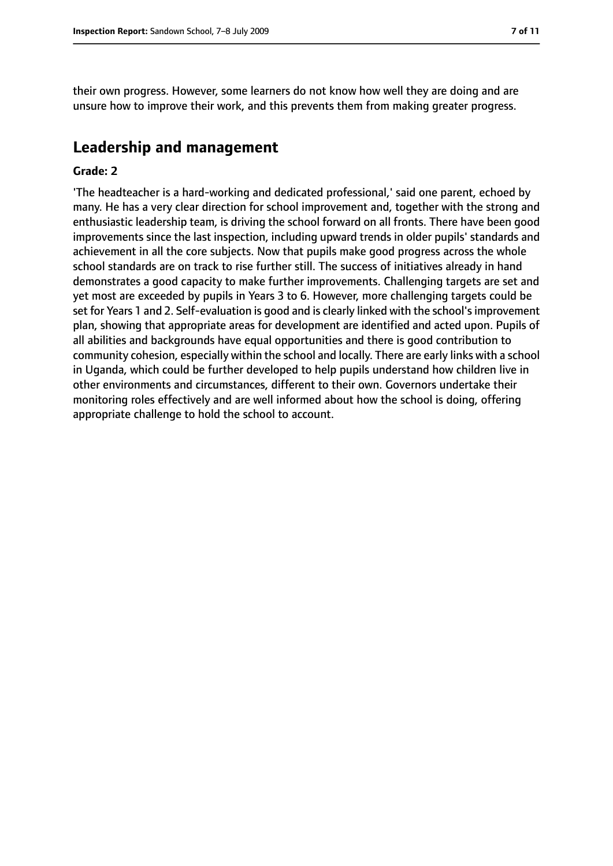their own progress. However, some learners do not know how well they are doing and are unsure how to improve their work, and this prevents them from making greater progress.

## **Leadership and management**

#### **Grade: 2**

'The headteacher is a hard-working and dedicated professional,' said one parent, echoed by many. He has a very clear direction for school improvement and, together with the strong and enthusiastic leadership team, is driving the school forward on all fronts. There have been good improvements since the last inspection, including upward trends in older pupils' standards and achievement in all the core subjects. Now that pupils make good progress across the whole school standards are on track to rise further still. The success of initiatives already in hand demonstrates a good capacity to make further improvements. Challenging targets are set and yet most are exceeded by pupils in Years 3 to 6. However, more challenging targets could be set for Years 1 and 2. Self-evaluation is good and is clearly linked with the school's improvement plan, showing that appropriate areas for development are identified and acted upon. Pupils of all abilities and backgrounds have equal opportunities and there is good contribution to community cohesion, especially within the school and locally. There are early links with a school in Uganda, which could be further developed to help pupils understand how children live in other environments and circumstances, different to their own. Governors undertake their monitoring roles effectively and are well informed about how the school is doing, offering appropriate challenge to hold the school to account.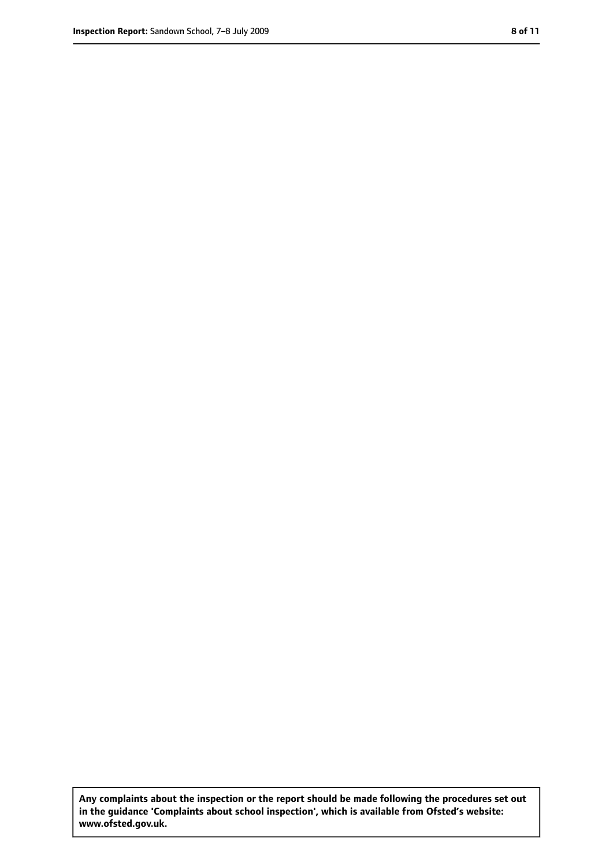**Any complaints about the inspection or the report should be made following the procedures set out in the guidance 'Complaints about school inspection', which is available from Ofsted's website: www.ofsted.gov.uk.**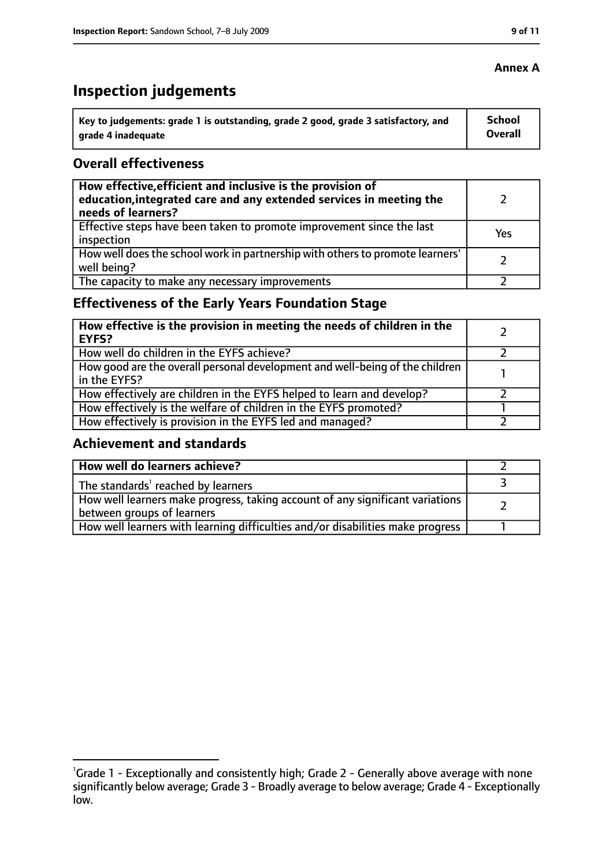# **Inspection judgements**

| $\lq$ Key to judgements: grade 1 is outstanding, grade 2 good, grade 3 satisfactory, and | <b>School</b> |
|------------------------------------------------------------------------------------------|---------------|
| arade 4 inadequate                                                                       | Overall       |

# **Overall effectiveness**

| How effective, efficient and inclusive is the provision of<br>education, integrated care and any extended services in meeting the<br>needs of learners? |     |
|---------------------------------------------------------------------------------------------------------------------------------------------------------|-----|
| Effective steps have been taken to promote improvement since the last<br>inspection                                                                     | Yes |
| How well does the school work in partnership with others to promote learners'<br>well being?                                                            |     |
| The capacity to make any necessary improvements                                                                                                         |     |

# **Effectiveness of the Early Years Foundation Stage**

| How effective is the provision in meeting the needs of children in the<br>EYFS?              |  |
|----------------------------------------------------------------------------------------------|--|
| How well do children in the EYFS achieve?                                                    |  |
| How good are the overall personal development and well-being of the children<br>in the EYFS? |  |
| How effectively are children in the EYFS helped to learn and develop?                        |  |
| How effectively is the welfare of children in the EYFS promoted?                             |  |
| How effectively is provision in the EYFS led and managed?                                    |  |

# **Achievement and standards**

| How well do learners achieve?                                                                               |  |
|-------------------------------------------------------------------------------------------------------------|--|
| The standards <sup>1</sup> reached by learners                                                              |  |
| How well learners make progress, taking account of any significant variations<br>between groups of learners |  |
| How well learners with learning difficulties and/or disabilities make progress                              |  |

# **Annex A**

<sup>&</sup>lt;sup>1</sup>Grade 1 - Exceptionally and consistently high; Grade 2 - Generally above average with none significantly below average; Grade 3 - Broadly average to below average; Grade 4 - Exceptionally low.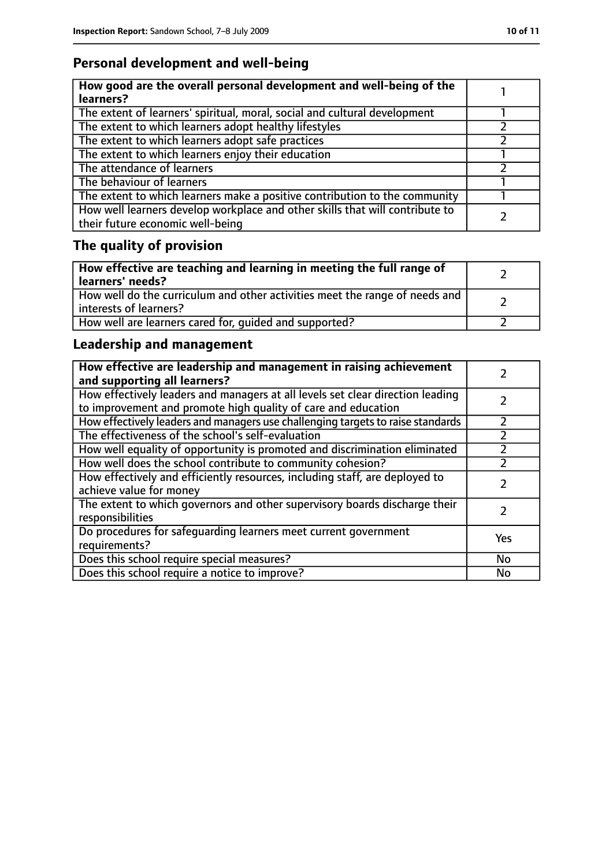# **Personal development and well-being**

| How good are the overall personal development and well-being of the<br>learners?                                 |  |
|------------------------------------------------------------------------------------------------------------------|--|
| The extent of learners' spiritual, moral, social and cultural development                                        |  |
| The extent to which learners adopt healthy lifestyles                                                            |  |
| The extent to which learners adopt safe practices                                                                |  |
| The extent to which learners enjoy their education                                                               |  |
| The attendance of learners                                                                                       |  |
| The behaviour of learners                                                                                        |  |
| The extent to which learners make a positive contribution to the community                                       |  |
| How well learners develop workplace and other skills that will contribute to<br>their future economic well-being |  |

# **The quality of provision**

| How effective are teaching and learning in meeting the full range of<br>learners' needs?              |  |
|-------------------------------------------------------------------------------------------------------|--|
| How well do the curriculum and other activities meet the range of needs and<br>interests of learners? |  |
| How well are learners cared for, quided and supported?                                                |  |

# **Leadership and management**

| How effective are leadership and management in raising achievement<br>and supporting all learners?                                              |     |
|-------------------------------------------------------------------------------------------------------------------------------------------------|-----|
| How effectively leaders and managers at all levels set clear direction leading<br>to improvement and promote high quality of care and education |     |
| How effectively leaders and managers use challenging targets to raise standards                                                                 |     |
| The effectiveness of the school's self-evaluation                                                                                               |     |
| How well equality of opportunity is promoted and discrimination eliminated                                                                      |     |
| How well does the school contribute to community cohesion?                                                                                      |     |
| How effectively and efficiently resources, including staff, are deployed to<br>achieve value for money                                          |     |
| The extent to which governors and other supervisory boards discharge their<br>responsibilities                                                  |     |
| Do procedures for safeguarding learners meet current government<br>requirements?                                                                | Yes |
| Does this school require special measures?                                                                                                      | No  |
| Does this school require a notice to improve?                                                                                                   | No  |